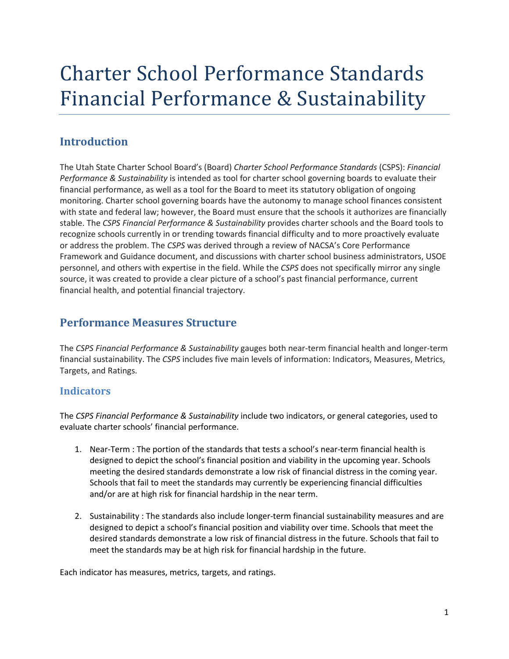# Charter School Performance Standards Financial Performance & Sustainability

# **Introduction**

The Utah State Charter School Board's (Board) *Charter School Performance Standards* (CSPS): *Financial Performance & Sustainability* is intended as tool for charter school governing boards to evaluate their financial performance, as well as a tool for the Board to meet its statutory obligation of ongoing monitoring. Charter school governing boards have the autonomy to manage school finances consistent with state and federal law; however, the Board must ensure that the schools it authorizes are financially stable. The *CSPS Financial Performance & Sustainability* provides charter schools and the Board tools to recognize schools currently in or trending towards financial difficulty and to more proactively evaluate or address the problem. The *CSPS* was derived through a review of NACSA's Core Performance Framework and Guidance document, and discussions with charter school business administrators, USOE personnel, and others with expertise in the field. While the *CSPS* does not specifically mirror any single source, it was created to provide a clear picture of a school's past financial performance, current financial health, and potential financial trajectory.

# **Performance Measures Structure**

The *CSPS Financial Performance & Sustainability* gauges both near-term financial health and longer-term financial sustainability. The *CSPS* includes five main levels of information: Indicators, Measures, Metrics, Targets, and Ratings.

# **Indicators**

The *CSPS Financial Performance & Sustainability* include two indicators, or general categories, used to evaluate charter schools' financial performance.

- 1. Near-Term : The portion of the standards that tests a school's near-term financial health is designed to depict the school's financial position and viability in the upcoming year. Schools meeting the desired standards demonstrate a low risk of financial distress in the coming year. Schools that fail to meet the standards may currently be experiencing financial difficulties and/or are at high risk for financial hardship in the near term.
- 2. Sustainability : The standards also include longer-term financial sustainability measures and are designed to depict a school's financial position and viability over time. Schools that meet the desired standards demonstrate a low risk of financial distress in the future. Schools that fail to meet the standards may be at high risk for financial hardship in the future.

Each indicator has measures, metrics, targets, and ratings.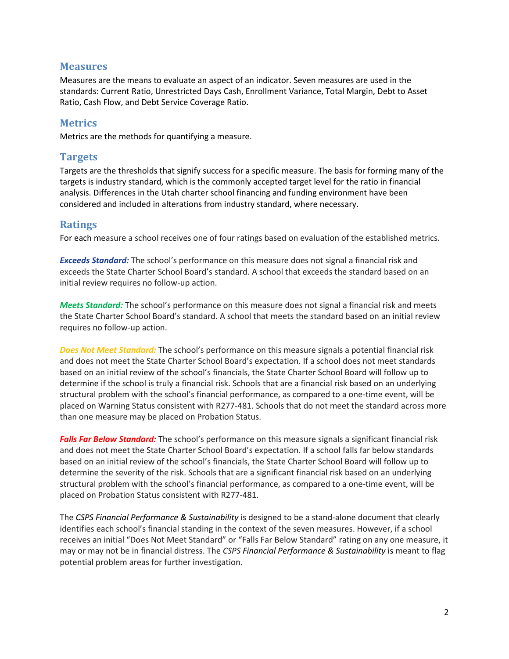## **Measures**

Measures are the means to evaluate an aspect of an indicator. Seven measures are used in the standards: Current Ratio, Unrestricted Days Cash, Enrollment Variance, Total Margin, Debt to Asset Ratio, Cash Flow, and Debt Service Coverage Ratio.

## **Metrics**

Metrics are the methods for quantifying a measure.

## **Targets**

Targets are the thresholds that signify success for a specific measure. The basis for forming many of the targets is industry standard, which is the commonly accepted target level for the ratio in financial analysis. Differences in the Utah charter school financing and funding environment have been considered and included in alterations from industry standard, where necessary.

## **Ratings**

For each measure a school receives one of four ratings based on evaluation of the established metrics.

*Exceeds Standard:* The school's performance on this measure does not signal a financial risk and exceeds the State Charter School Board's standard. A school that exceeds the standard based on an initial review requires no follow-up action.

*Meets Standard:* The school's performance on this measure does not signal a financial risk and meets the State Charter School Board's standard. A school that meets the standard based on an initial review requires no follow-up action.

*Does Not Meet Standard:* The school's performance on this measure signals a potential financial risk and does not meet the State Charter School Board's expectation. If a school does not meet standards based on an initial review of the school's financials, the State Charter School Board will follow up to determine if the school is truly a financial risk. Schools that are a financial risk based on an underlying structural problem with the school's financial performance, as compared to a one-time event, will be placed on Warning Status consistent with R277-481. Schools that do not meet the standard across more than one measure may be placed on Probation Status.

*Falls Far Below Standard:* The school's performance on this measure signals a significant financial risk and does not meet the State Charter School Board's expectation. If a school falls far below standards based on an initial review of the school's financials, the State Charter School Board will follow up to determine the severity of the risk. Schools that are a significant financial risk based on an underlying structural problem with the school's financial performance, as compared to a one-time event, will be placed on Probation Status consistent with R277-481.

The *CSPS Financial Performance & Sustainability* is designed to be a stand-alone document that clearly identifies each school's financial standing in the context of the seven measures. However, if a school receives an initial "Does Not Meet Standard" or "Falls Far Below Standard" rating on any one measure, it may or may not be in financial distress. The *CSPS Financial Performance & Sustainability* is meant to flag potential problem areas for further investigation.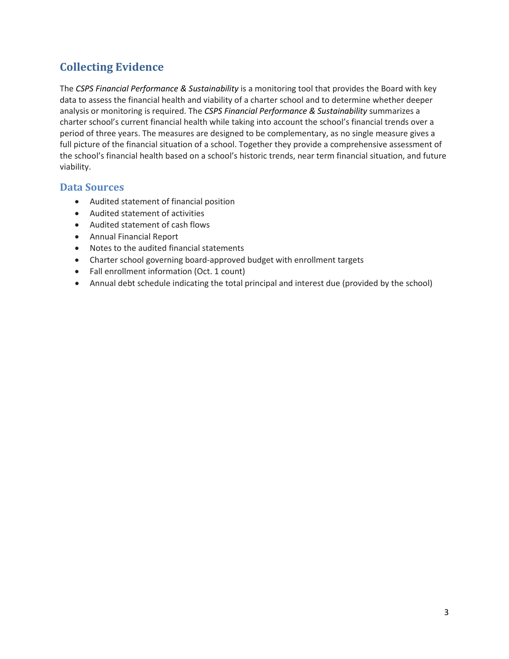# **Collecting Evidence**

The *CSPS Financial Performance & Sustainability* is a monitoring tool that provides the Board with key data to assess the financial health and viability of a charter school and to determine whether deeper analysis or monitoring is required. The *CSPS Financial Performance & Sustainability* summarizes a charter school's current financial health while taking into account the school's financial trends over a period of three years. The measures are designed to be complementary, as no single measure gives a full picture of the financial situation of a school. Together they provide a comprehensive assessment of the school's financial health based on a school's historic trends, near term financial situation, and future viability.

# **Data Sources**

- Audited statement of financial position
- Audited statement of activities
- Audited statement of cash flows
- Annual Financial Report
- Notes to the audited financial statements
- Charter school governing board-approved budget with enrollment targets
- Fall enrollment information (Oct. 1 count)
- Annual debt schedule indicating the total principal and interest due (provided by the school)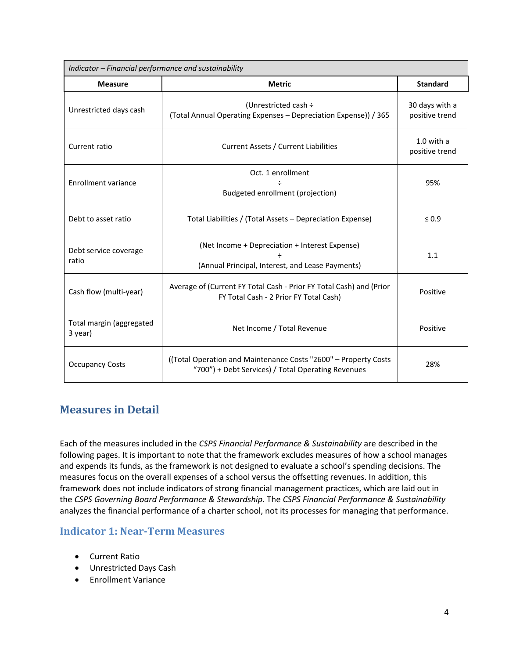| Indicator - Financial performance and sustainability |                                                                                                                       |                                  |  |  |
|------------------------------------------------------|-----------------------------------------------------------------------------------------------------------------------|----------------------------------|--|--|
| <b>Measure</b>                                       | <b>Metric</b>                                                                                                         | <b>Standard</b>                  |  |  |
| Unrestricted days cash                               | (Unrestricted cash ÷<br>(Total Annual Operating Expenses - Depreciation Expense)) / 365                               | 30 days with a<br>positive trend |  |  |
| Current ratio                                        | <b>Current Assets / Current Liabilities</b>                                                                           | $1.0$ with a<br>positive trend   |  |  |
|                                                      | Oct. 1 enrollment                                                                                                     | 95%                              |  |  |
| <b>Enrollment variance</b>                           | Budgeted enrollment (projection)                                                                                      |                                  |  |  |
| Debt to asset ratio                                  | Total Liabilities / (Total Assets – Depreciation Expense)                                                             | $\leq 0.9$                       |  |  |
| Debt service coverage<br>ratio                       | (Net Income + Depreciation + Interest Expense)<br>(Annual Principal, Interest, and Lease Payments)                    | 1.1                              |  |  |
| Cash flow (multi-year)                               | Average of (Current FY Total Cash - Prior FY Total Cash) and (Prior<br>FY Total Cash - 2 Prior FY Total Cash)         | Positive                         |  |  |
| Total margin (aggregated<br>3 year)                  | Net Income / Total Revenue                                                                                            | Positive                         |  |  |
| <b>Occupancy Costs</b>                               | ((Total Operation and Maintenance Costs "2600" - Property Costs<br>"700") + Debt Services) / Total Operating Revenues | 28%                              |  |  |

# **Measures in Detail**

Each of the measures included in the *CSPS Financial Performance & Sustainability* are described in the following pages. It is important to note that the framework excludes measures of how a school manages and expends its funds, as the framework is not designed to evaluate a school's spending decisions. The measures focus on the overall expenses of a school versus the offsetting revenues. In addition, this framework does not include indicators of strong financial management practices, which are laid out in the *CSPS Governing Board Performance & Stewardship*. The *CSPS Financial Performance & Sustainability* analyzes the financial performance of a charter school, not its processes for managing that performance.

# **Indicator 1: Near-Term Measures**

- Current Ratio
- Unrestricted Days Cash
- Enrollment Variance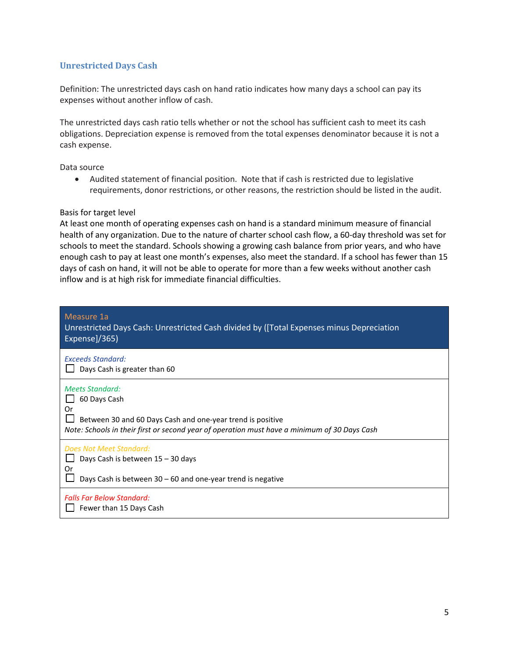#### **Unrestricted Days Cash**

Definition: The unrestricted days cash on hand ratio indicates how many days a school can pay its expenses without another inflow of cash.

The unrestricted days cash ratio tells whether or not the school has sufficient cash to meet its cash obligations. Depreciation expense is removed from the total expenses denominator because it is not a cash expense.

Data source

• Audited statement of financial position. Note that if cash is restricted due to legislative requirements, donor restrictions, or other reasons, the restriction should be listed in the audit.

#### Basis for target level

At least one month of operating expenses cash on hand is a standard minimum measure of financial health of any organization. Due to the nature of charter school cash flow, a 60-day threshold was set for schools to meet the standard. Schools showing a growing cash balance from prior years, and who have enough cash to pay at least one month's expenses, also meet the standard. If a school has fewer than 15 days of cash on hand, it will not be able to operate for more than a few weeks without another cash inflow and is at high risk for immediate financial difficulties.

| Measure 1a<br>Unrestricted Days Cash: Unrestricted Cash divided by ([Total Expenses minus Depreciation<br>Expense]/365)                                                                                    |
|------------------------------------------------------------------------------------------------------------------------------------------------------------------------------------------------------------|
| <b>Exceeds Standard:</b><br>Days Cash is greater than 60                                                                                                                                                   |
| <b>Meets Standard:</b><br>60 Days Cash<br>Or<br>Between 30 and 60 Days Cash and one-year trend is positive<br>Note: Schools in their first or second year of operation must have a minimum of 30 Days Cash |
| Does Not Meet Standard:<br>Days Cash is between 15 - 30 days<br>0r<br>Days Cash is between $30 - 60$ and one-year trend is negative                                                                        |
| <b>Falls Far Below Standard:</b><br>Fewer than 15 Days Cash                                                                                                                                                |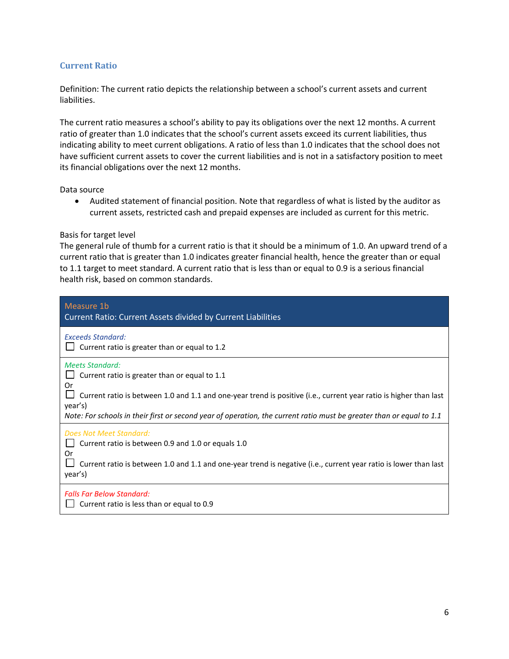#### **Current Ratio**

Definition: The current ratio depicts the relationship between a school's current assets and current liabilities.

The current ratio measures a school's ability to pay its obligations over the next 12 months. A current ratio of greater than 1.0 indicates that the school's current assets exceed its current liabilities, thus indicating ability to meet current obligations. A ratio of less than 1.0 indicates that the school does not have sufficient current assets to cover the current liabilities and is not in a satisfactory position to meet its financial obligations over the next 12 months.

#### Data source

• Audited statement of financial position. Note that regardless of what is listed by the auditor as current assets, restricted cash and prepaid expenses are included as current for this metric.

#### Basis for target level

The general rule of thumb for a current ratio is that it should be a minimum of 1.0. An upward trend of a current ratio that is greater than 1.0 indicates greater financial health, hence the greater than or equal to 1.1 target to meet standard. A current ratio that is less than or equal to 0.9 is a serious financial health risk, based on common standards.

| Measure 1b<br><b>Current Ratio: Current Assets divided by Current Liabilities</b>                                                                                                                                                                                                                                                     |
|---------------------------------------------------------------------------------------------------------------------------------------------------------------------------------------------------------------------------------------------------------------------------------------------------------------------------------------|
| <b>Exceeds Standard:</b><br>Current ratio is greater than or equal to 1.2                                                                                                                                                                                                                                                             |
| <b>Meets Standard:</b><br>Current ratio is greater than or equal to 1.1<br>Or<br>Current ratio is between 1.0 and 1.1 and one-year trend is positive (i.e., current year ratio is higher than last<br>year's)<br>Note: For schools in their first or second year of operation, the current ratio must be greater than or equal to 1.1 |
| <b>Does Not Meet Standard:</b><br>Current ratio is between 0.9 and 1.0 or equals 1.0<br>0r<br>Current ratio is between 1.0 and 1.1 and one-year trend is negative (i.e., current year ratio is lower than last<br>year's)                                                                                                             |
| <b>Falls Far Below Standard:</b><br>Current ratio is less than or equal to 0.9                                                                                                                                                                                                                                                        |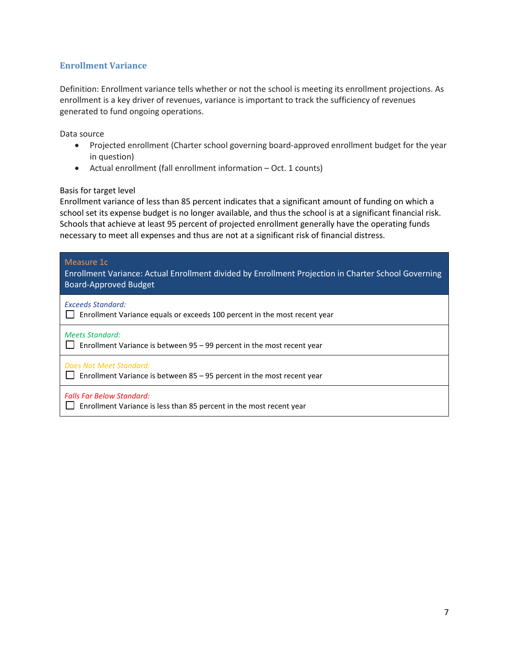## **Enrollment Variance**

Definition: Enrollment variance tells whether or not the school is meeting its enrollment projections. As enrollment is a key driver of revenues, variance is important to track the sufficiency of revenues generated to fund ongoing operations.

Data source

- Projected enrollment (Charter school governing board-approved enrollment budget for the year in question)
- Actual enrollment (fall enrollment information Oct. 1 counts)

#### Basis for target level

Enrollment variance of less than 85 percent indicates that a significant amount of funding on which a school set its expense budget is no longer available, and thus the school is at a significant financial risk. Schools that achieve at least 95 percent of projected enrollment generally have the operating funds necessary to meet all expenses and thus are not at a significant risk of financial distress.

| Measure 1c<br>Enrollment Variance: Actual Enrollment divided by Enrollment Projection in Charter School Governing<br><b>Board-Approved Budget</b> |
|---------------------------------------------------------------------------------------------------------------------------------------------------|
| <b>Exceeds Standard:</b><br>Enrollment Variance equals or exceeds 100 percent in the most recent year                                             |
| <b>Meets Standard:</b><br>Enrollment Variance is between 95 - 99 percent in the most recent year                                                  |
| Does Not Meet Standard:<br>Enrollment Variance is between $85 - 95$ percent in the most recent year                                               |
| <b>Falls Far Below Standard:</b><br>Enrollment Variance is less than 85 percent in the most recent year                                           |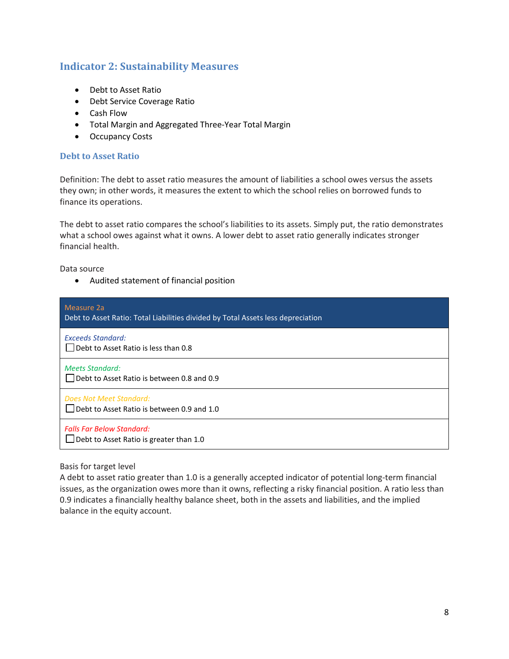# **Indicator 2: Sustainability Measures**

- Debt to Asset Ratio
- Debt Service Coverage Ratio
- Cash Flow
- Total Margin and Aggregated Three-Year Total Margin
- Occupancy Costs

#### **Debt to Asset Ratio**

Definition: The debt to asset ratio measures the amount of liabilities a school owes versus the assets they own; in other words, it measures the extent to which the school relies on borrowed funds to finance its operations.

The debt to asset ratio compares the school's liabilities to its assets. Simply put, the ratio demonstrates what a school owes against what it owns. A lower debt to asset ratio generally indicates stronger financial health.

Data source

• Audited statement of financial position

| Measure 2a<br>Debt to Asset Ratio: Total Liabilities divided by Total Assets less depreciation |
|------------------------------------------------------------------------------------------------|
| <b>Exceeds Standard:</b><br>$\Box$ Debt to Asset Ratio is less than 0.8                        |
| <b>Meets Standard:</b><br>$\Box$ Debt to Asset Ratio is between 0.8 and 0.9                    |
| Does Not Meet Standard:<br>$\Box$ Debt to Asset Ratio is between 0.9 and 1.0                   |
| <b>Falls Far Below Standard:</b><br>$\Box$ Debt to Asset Ratio is greater than 1.0             |

## Basis for target level

A debt to asset ratio greater than 1.0 is a generally accepted indicator of potential long-term financial issues, as the organization owes more than it owns, reflecting a risky financial position. A ratio less than 0.9 indicates a financially healthy balance sheet, both in the assets and liabilities, and the implied balance in the equity account.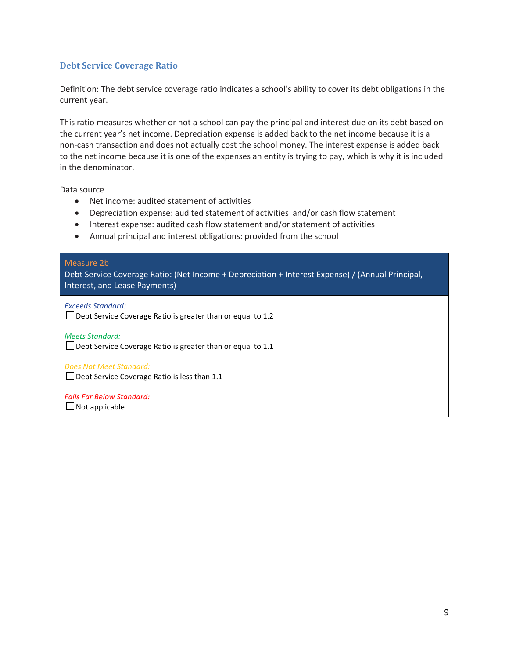#### **Debt Service Coverage Ratio**

Definition: The debt service coverage ratio indicates a school's ability to cover its debt obligations in the current year.

This ratio measures whether or not a school can pay the principal and interest due on its debt based on the current year's net income. Depreciation expense is added back to the net income because it is a non-cash transaction and does not actually cost the school money. The interest expense is added back to the net income because it is one of the expenses an entity is trying to pay, which is why it is included in the denominator.

Data source

- Net income: audited statement of activities
- Depreciation expense: audited statement of activities and/or cash flow statement
- Interest expense: audited cash flow statement and/or statement of activities
- Annual principal and interest obligations: provided from the school

#### Measure 2b

Debt Service Coverage Ratio: (Net Income + Depreciation + Interest Expense) / (Annual Principal, Interest, and Lease Payments)

*Exceeds Standard:*

□ Debt Service Coverage Ratio is greater than or equal to 1.2

*Meets Standard:*

Debt Service Coverage Ratio is greater than or equal to 1.1

*Does Not Meet Standard:*  $\Box$  Debt Service Coverage Ratio is less than 1.1

*Falls Far Below Standard:*

 $\Box$  Not applicable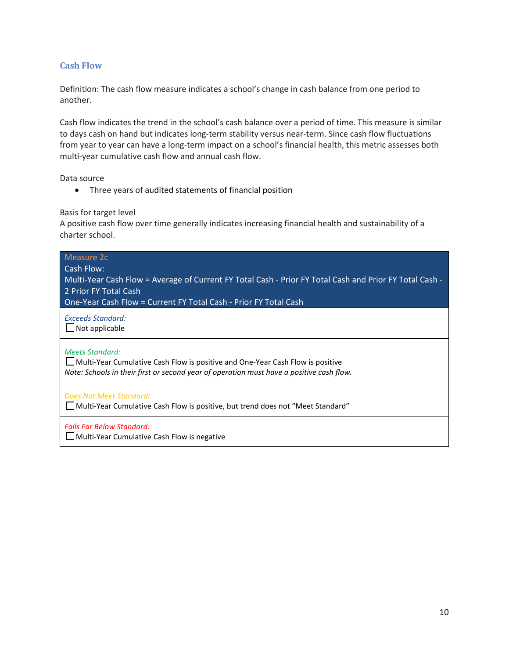#### **Cash Flow**

Definition: The cash flow measure indicates a school's change in cash balance from one period to another.

Cash flow indicates the trend in the school's cash balance over a period of time. This measure is similar to days cash on hand but indicates long-term stability versus near-term. Since cash flow fluctuations from year to year can have a long-term impact on a school's financial health, this metric assesses both multi-year cumulative cash flow and annual cash flow.

Data source

• Three years of audited statements of financial position

Basis for target level

A positive cash flow over time generally indicates increasing financial health and sustainability of a charter school.

| Measure 2c<br>Cash Flow:<br>Multi-Year Cash Flow = Average of Current FY Total Cash - Prior FY Total Cash and Prior FY Total Cash -<br>2 Prior FY Total Cash<br>One-Year Cash Flow = Current FY Total Cash - Prior FY Total Cash |
|----------------------------------------------------------------------------------------------------------------------------------------------------------------------------------------------------------------------------------|
| <b>Exceeds Standard:</b><br>$\Box$ Not applicable                                                                                                                                                                                |
| <b>Meets Standard:</b><br>Multi-Year Cumulative Cash Flow is positive and One-Year Cash Flow is positive<br>Note: Schools in their first or second year of operation must have a positive cash flow.                             |
| Does Not Meet Standard:<br>□ Multi-Year Cumulative Cash Flow is positive, but trend does not "Meet Standard"                                                                                                                     |
| <b>Falls Far Below Standard:</b><br>□ Multi-Year Cumulative Cash Flow is negative                                                                                                                                                |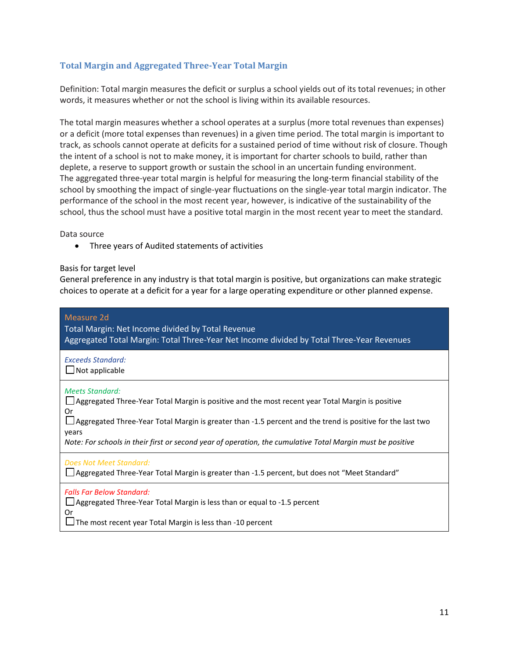## **Total Margin and Aggregated Three-Year Total Margin**

Definition: Total margin measures the deficit or surplus a school yields out of its total revenues; in other words, it measures whether or not the school is living within its available resources.

The total margin measures whether a school operates at a surplus (more total revenues than expenses) or a deficit (more total expenses than revenues) in a given time period. The total margin is important to track, as schools cannot operate at deficits for a sustained period of time without risk of closure. Though the intent of a school is not to make money, it is important for charter schools to build, rather than deplete, a reserve to support growth or sustain the school in an uncertain funding environment. The aggregated three-year total margin is helpful for measuring the long-term financial stability of the school by smoothing the impact of single-year fluctuations on the single-year total margin indicator. The performance of the school in the most recent year, however, is indicative of the sustainability of the school, thus the school must have a positive total margin in the most recent year to meet the standard.

Data source

• Three years of Audited statements of activities

#### Basis for target level

General preference in any industry is that total margin is positive, but organizations can make strategic choices to operate at a deficit for a year for a large operating expenditure or other planned expense.

| Measure 2d<br>Total Margin: Net Income divided by Total Revenue<br>Aggregated Total Margin: Total Three-Year Net Income divided by Total Three-Year Revenues                                                                                                                                                                                                            |
|-------------------------------------------------------------------------------------------------------------------------------------------------------------------------------------------------------------------------------------------------------------------------------------------------------------------------------------------------------------------------|
| <b>Exceeds Standard:</b><br>$\Box$ Not applicable                                                                                                                                                                                                                                                                                                                       |
| <b>Meets Standard:</b><br>□ Aggregated Three-Year Total Margin is positive and the most recent year Total Margin is positive<br>Or<br>Aggregated Three-Year Total Margin is greater than -1.5 percent and the trend is positive for the last two<br>years<br>Note: For schools in their first or second year of operation, the cumulative Total Margin must be positive |
| Does Not Meet Standard:<br>□ Aggregated Three-Year Total Margin is greater than -1.5 percent, but does not "Meet Standard"                                                                                                                                                                                                                                              |
| <b>Falls Far Below Standard:</b><br>$\Box$ Aggregated Three-Year Total Margin is less than or equal to -1.5 percent<br>Or<br>$\Box$ The most recent year Total Margin is less than -10 percent                                                                                                                                                                          |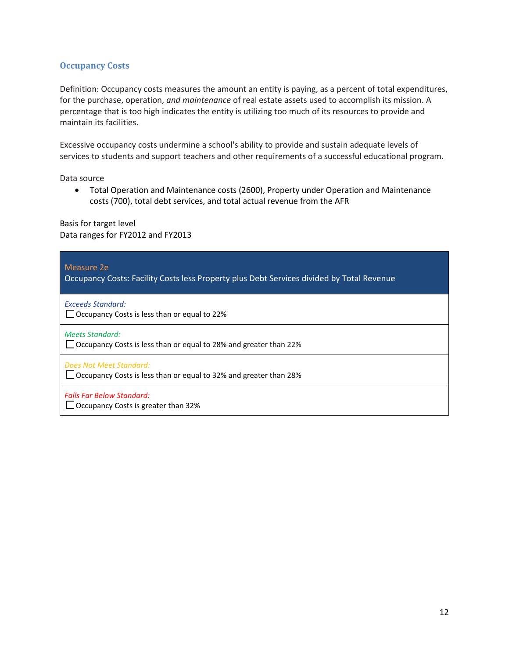#### **Occupancy Costs**

Definition: Occupancy costs measures the amount an entity is paying, as a percent of total expenditures, for the purchase, operation, *and maintenance* of real estate assets used to accomplish its mission. A percentage that is too high indicates the entity is utilizing too much of its resources to provide and maintain its facilities.

Excessive occupancy costs undermine a school's ability to provide and sustain adequate levels of services to students and support teachers and other requirements of a successful educational program.

Data source

• Total Operation and Maintenance costs (2600), Property under Operation and Maintenance costs (700), total debt services, and total actual revenue from the AFR

Basis for target level Data ranges for FY2012 and FY2013

| Measure 2e<br>Occupancy Costs: Facility Costs less Property plus Debt Services divided by Total Revenue |
|---------------------------------------------------------------------------------------------------------|
| <b>Exceeds Standard:</b><br>□ Occupancy Costs is less than or equal to 22%                              |
| <b>Meets Standard:</b><br>$\Box$ Occupancy Costs is less than or equal to 28% and greater than 22%      |
| Does Not Meet Standard:<br>$\Box$ Occupancy Costs is less than or equal to 32% and greater than 28%     |
| <b>Falls Far Below Standard:</b><br>$\Box$ Occupancy Costs is greater than 32%                          |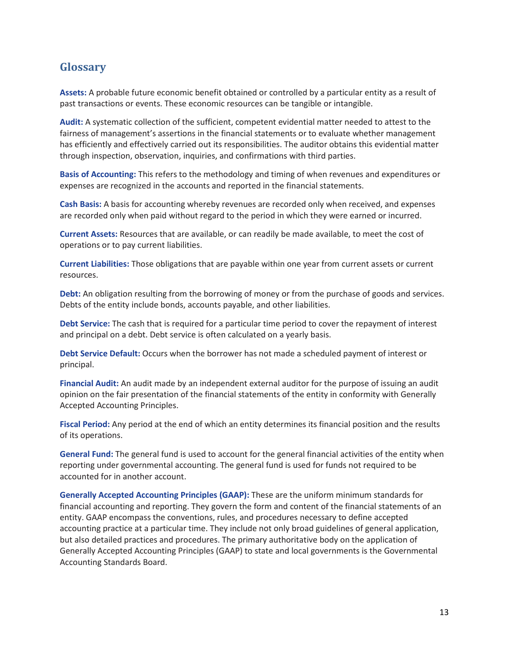# **Glossary**

**Assets:** A probable future economic benefit obtained or controlled by a particular entity as a result of past transactions or events. These economic resources can be tangible or intangible.

**Audit:** A systematic collection of the sufficient, competent evidential matter needed to attest to the fairness of management's assertions in the financial statements or to evaluate whether management has efficiently and effectively carried out its responsibilities. The auditor obtains this evidential matter through inspection, observation, inquiries, and confirmations with third parties.

**Basis of Accounting:** This refers to the methodology and timing of when revenues and expenditures or expenses are recognized in the accounts and reported in the financial statements.

**Cash Basis:** A basis for accounting whereby revenues are recorded only when received, and expenses are recorded only when paid without regard to the period in which they were earned or incurred.

**Current Assets:** Resources that are available, or can readily be made available, to meet the cost of operations or to pay current liabilities.

**Current Liabilities:** Those obligations that are payable within one year from current assets or current resources.

**Debt:** An obligation resulting from the borrowing of money or from the purchase of goods and services. Debts of the entity include bonds, accounts payable, and other liabilities.

**Debt Service:** The cash that is required for a particular time period to cover the repayment of interest and principal on a debt. Debt service is often calculated on a yearly basis.

**Debt Service Default:** Occurs when the borrower has not made a scheduled payment of interest or principal.

**Financial Audit:** An audit made by an independent external auditor for the purpose of issuing an audit opinion on the fair presentation of the financial statements of the entity in conformity with Generally Accepted Accounting Principles.

**Fiscal Period:** Any period at the end of which an entity determines its financial position and the results of its operations.

**General Fund:** The general fund is used to account for the general financial activities of the entity when reporting under governmental accounting. The general fund is used for funds not required to be accounted for in another account.

**Generally Accepted Accounting Principles (GAAP):** These are the uniform minimum standards for financial accounting and reporting. They govern the form and content of the financial statements of an entity. GAAP encompass the conventions, rules, and procedures necessary to define accepted accounting practice at a particular time. They include not only broad guidelines of general application, but also detailed practices and procedures. The primary authoritative body on the application of Generally Accepted Accounting Principles (GAAP) to state and local governments is the Governmental Accounting Standards Board.